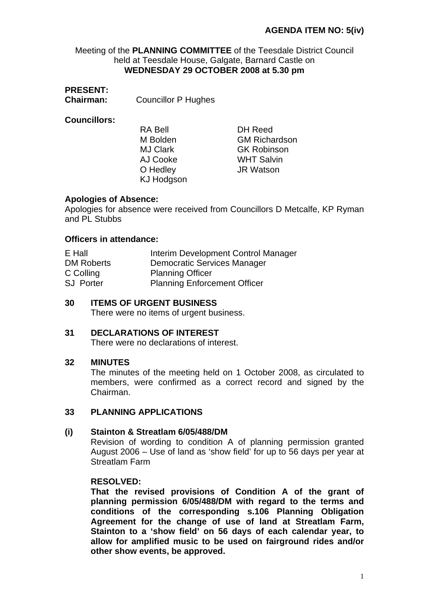Meeting of the **PLANNING COMMITTEE** of the Teesdale District Council held at Teesdale House, Galgate, Barnard Castle on **WEDNESDAY 29 OCTOBER 2008 at 5.30 pm** 

# **PRESENT:**

**Chairman:** Councillor P Hughes

# **Councillors:**

RA Bell M Bolden MJ Clark AJ Cooke KJ Hodgson

DH Reed GM Richardson GK Robinson WHT Salvin O Hedley **JR Watson** 

## **Apologies of Absence:**

Apologies for absence were received from Councillors D Metcalfe, KP Ryman and PL Stubbs

## **Officers in attendance:**

| E Hall            | Interim Development Control Manager |
|-------------------|-------------------------------------|
| <b>DM Roberts</b> | Democratic Services Manager         |
| C Colling         | <b>Planning Officer</b>             |
| <b>SJ</b> Porter  | <b>Planning Enforcement Officer</b> |

## **30 ITEMS OF URGENT BUSINESS**

There were no items of urgent business.

#### **31 DECLARATIONS OF INTEREST**

There were no declarations of interest.

#### **32 MINUTES**

The minutes of the meeting held on 1 October 2008, as circulated to members, were confirmed as a correct record and signed by the Chairman.

### **33 PLANNING APPLICATIONS**

#### **(i) Stainton & Streatlam 6/05/488/DM**

Revision of wording to condition A of planning permission granted August 2006 – Use of land as 'show field' for up to 56 days per year at Streatlam Farm

#### **RESOLVED:**

 **That the revised provisions of Condition A of the grant of planning permission 6/05/488/DM with regard to the terms and conditions of the corresponding s.106 Planning Obligation Agreement for the change of use of land at Streatlam Farm, Stainton to a 'show field' on 56 days of each calendar year, to allow for amplified music to be used on fairground rides and/or other show events, be approved.**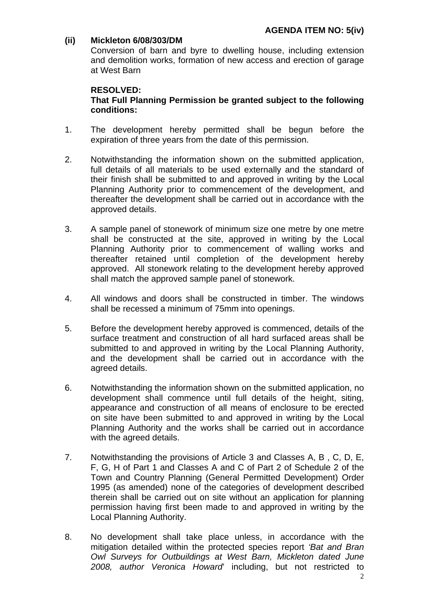# **(ii) Mickleton 6/08/303/DM**

Conversion of barn and byre to dwelling house, including extension and demolition works, formation of new access and erection of garage at West Barn

# **RESOLVED: That Full Planning Permission be granted subject to the following conditions:**

- 1. The development hereby permitted shall be begun before the expiration of three years from the date of this permission.
- 2. Notwithstanding the information shown on the submitted application, full details of all materials to be used externally and the standard of their finish shall be submitted to and approved in writing by the Local Planning Authority prior to commencement of the development, and thereafter the development shall be carried out in accordance with the approved details.
- 3. A sample panel of stonework of minimum size one metre by one metre shall be constructed at the site, approved in writing by the Local Planning Authority prior to commencement of walling works and thereafter retained until completion of the development hereby approved. All stonework relating to the development hereby approved shall match the approved sample panel of stonework.
- 4. All windows and doors shall be constructed in timber. The windows shall be recessed a minimum of 75mm into openings.
- 5. Before the development hereby approved is commenced, details of the surface treatment and construction of all hard surfaced areas shall be submitted to and approved in writing by the Local Planning Authority, and the development shall be carried out in accordance with the agreed details.
- 6. Notwithstanding the information shown on the submitted application, no development shall commence until full details of the height, siting, appearance and construction of all means of enclosure to be erected on site have been submitted to and approved in writing by the Local Planning Authority and the works shall be carried out in accordance with the agreed details.
- 7. Notwithstanding the provisions of Article 3 and Classes A, B , C, D, E, F, G, H of Part 1 and Classes A and C of Part 2 of Schedule 2 of the Town and Country Planning (General Permitted Development) Order 1995 (as amended) none of the categories of development described therein shall be carried out on site without an application for planning permission having first been made to and approved in writing by the Local Planning Authority.
- 8. No development shall take place unless, in accordance with the mitigation detailed within the protected species report *'Bat and Bran Owl Surveys for Outbuildings at West Barn, Mickleton dated June 2008, author Veronica Howard*' including, but not restricted to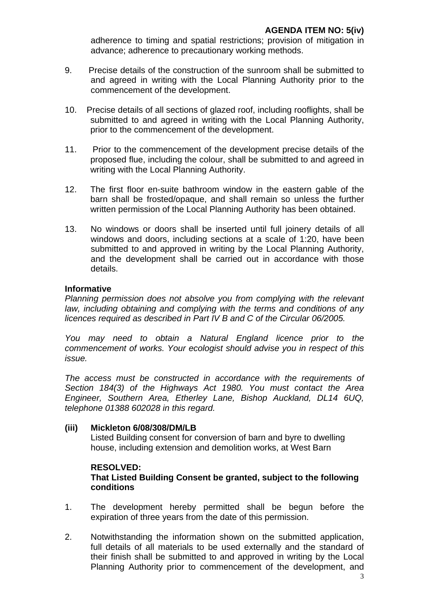adherence to timing and spatial restrictions; provision of mitigation in advance; adherence to precautionary working methods.

- 9. Precise details of the construction of the sunroom shall be submitted to and agreed in writing with the Local Planning Authority prior to the commencement of the development.
- 10. Precise details of all sections of glazed roof, including rooflights, shall be submitted to and agreed in writing with the Local Planning Authority, prior to the commencement of the development.
- 11. Prior to the commencement of the development precise details of the proposed flue, including the colour, shall be submitted to and agreed in writing with the Local Planning Authority.
- 12. The first floor en-suite bathroom window in the eastern gable of the barn shall be frosted/opaque, and shall remain so unless the further written permission of the Local Planning Authority has been obtained.
- 13. No windows or doors shall be inserted until full joinery details of all windows and doors, including sections at a scale of 1:20, have been submitted to and approved in writing by the Local Planning Authority, and the development shall be carried out in accordance with those details.

# **Informative**

*Planning permission does not absolve you from complying with the relevant law, including obtaining and complying with the terms and conditions of any licences required as described in Part IV B and C of the Circular 06/2005.* 

*You may need to obtain a Natural England licence prior to the commencement of works. Your ecologist should advise you in respect of this issue.* 

*The access must be constructed in accordance with the requirements of Section 184(3) of the Highways Act 1980. You must contact the Area Engineer, Southern Area, Etherley Lane, Bishop Auckland, DL14 6UQ, telephone 01388 602028 in this regard.*

#### **(iii) Mickleton 6/08/308/DM/LB**

Listed Building consent for conversion of barn and byre to dwelling house, including extension and demolition works, at West Barn

# **RESOLVED:**

# **That Listed Building Consent be granted, subject to the following conditions**

- 1. The development hereby permitted shall be begun before the expiration of three years from the date of this permission.
- 2. Notwithstanding the information shown on the submitted application, full details of all materials to be used externally and the standard of their finish shall be submitted to and approved in writing by the Local Planning Authority prior to commencement of the development, and